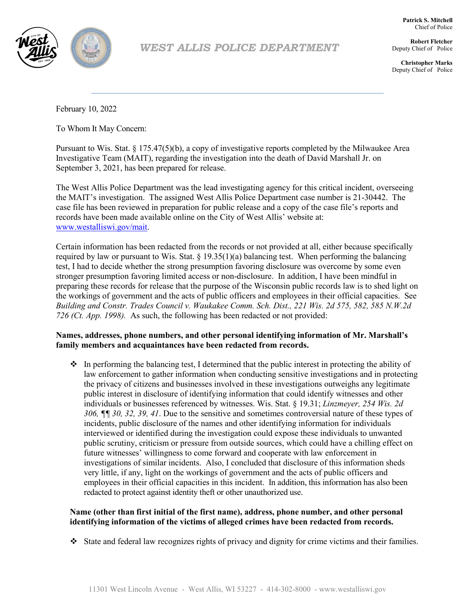

*WEST ALLIS POLICE DEPARTMENT*

**Robert Fletcher** Deputy Chief of Police

**Patrick S. Mitchell** Chief of Police

**Christopher Marks** Deputy Chief of Police

February 10, 2022

To Whom It May Concern:

Pursuant to Wis. Stat. § 175.47(5)(b), a copy of investigative reports completed by the Milwaukee Area Investigative Team (MAIT), regarding the investigation into the death of David Marshall Jr. on September 3, 2021, has been prepared for release.

The West Allis Police Department was the lead investigating agency for this critical incident, overseeing the MAIT's investigation. The assigned West Allis Police Department case number is 21-30442. The case file has been reviewed in preparation for public release and a copy of the case file's reports and records have been made available online on the City of West Allis' website at: www.westalliswi.gov/mait.

Certain information has been redacted from the records or not provided at all, either because specifically required by law or pursuant to Wis. Stat.  $\S 19.35(1)(a)$  balancing test. When performing the balancing test, I had to decide whether the strong presumption favoring disclosure was overcome by some even stronger presumption favoring limited access or non-disclosure. In addition, I have been mindful in preparing these records for release that the purpose of the Wisconsin public records law is to shed light on the workings of government and the acts of public officers and employees in their official capacities. See *Building and Constr. Trades Council v. Waukakee Comm. Sch. Dist., 221 Wis. 2d 575, 582, 585 N.W.2d 726 (Ct. App. 1998).* As such, the following has been redacted or not provided:

# **Names, addresses, phone numbers, and other personal identifying information of Mr. Marshall's family members and acquaintances have been redacted from records.**

 $\bullet$  In performing the balancing test, I determined that the public interest in protecting the ability of law enforcement to gather information when conducting sensitive investigations and in protecting the privacy of citizens and businesses involved in these investigations outweighs any legitimate public interest in disclosure of identifying information that could identify witnesses and other individuals or businesses referenced by witnesses. Wis. Stat. § 19.31; *Linzmeyer, 254 Wis. 2d 306, ¶¶ 30, 32, 39, 41*. Due to the sensitive and sometimes controversial nature of these types of incidents, public disclosure of the names and other identifying information for individuals interviewed or identified during the investigation could expose these individuals to unwanted public scrutiny, criticism or pressure from outside sources, which could have a chilling effect on future witnesses' willingness to come forward and cooperate with law enforcement in investigations of similar incidents. Also, I concluded that disclosure of this information sheds very little, if any, light on the workings of government and the acts of public officers and employees in their official capacities in this incident. In addition, this information has also been redacted to protect against identity theft or other unauthorized use.

#### **Name (other than first initial of the first name), address, phone number, and other personal identifying information of the victims of alleged crimes have been redacted from records.**

State and federal law recognizes rights of privacy and dignity for crime victims and their families.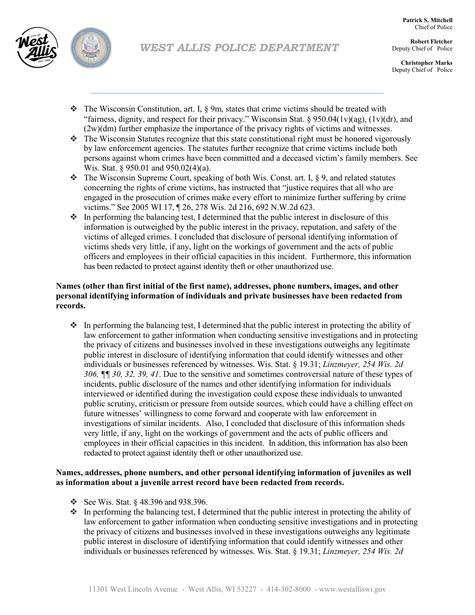

**Robert Fletcher** Deputy Chief of Police

**Christopher Marks** Deputy Chief of Police

- $\hat{\mathbf{v}}$  The Wisconsin Constitution, art. I,  $\S$  9m, states that crime victims should be treated with "fairness, dignity, and respect for their privacy." Wisconsin Stat. § 950.04(1v)(ag), (1v)(dr), and (2w)(dm) further emphasize the importance of the privacy rights of victims and witnesses.
- $\bullet$  The Wisconsin Statutes recognize that this state constitutional right must be honored vigorously by law enforcement agencies. The statutes further recognize that crime victims include both persons against whom crimes have been committed and a deceased victim's family members. See Wis. Stat. § 950.01 and 950.02(4)(a).
- $\bullet\bullet$  The Wisconsin Supreme Court, speaking of both Wis. Const. art. I, § 9, and related statutes concerning the rights of crime victims, has instructed that "justice requires that all who are engaged in the prosecution of crimes make every effort to minimize further suffering by crime victims." See 2005 WI 17, ¶ 26, 278 Wis. 2d 216, 692 N.W.2d 623.
- $\cdot \cdot$  In performing the balancing test, I determined that the public interest in disclosure of this information is outweighed by the public interest in the privacy, reputation, and safety of the victims of alleged crimes. I concluded that disclosure of personal identifying information of victims sheds very little, if any, light on the workings of government and the acts of public officers and employees in their official capacities in this incident. Furthermore, this information has been redacted to protect against identity theft or other unauthorized use.

# **Names (other than first initial of the first name), addresses, phone numbers, images, and other personal identifying information of individuals and private businesses have been redacted from records.**

 $\bullet$  In performing the balancing test, I determined that the public interest in protecting the ability of law enforcement to gather information when conducting sensitive investigations and in protecting the privacy of citizens and businesses involved in these investigations outweighs any legitimate public interest in disclosure of identifying information that could identify witnesses and other individuals or businesses referenced by witnesses. Wis. Stat. § 19.31; *Linzmeyer, 254 Wis. 2d 306, ¶¶ 30, 32, 39, 41*. Due to the sensitive and sometimes controversial nature of these types of incidents, public disclosure of the names and other identifying information for individuals interviewed or identified during the investigation could expose these individuals to unwanted public scrutiny, criticism or pressure from outside sources, which could have a chilling effect on future witnesses' willingness to come forward and cooperate with law enforcement in investigations of similar incidents. Also, I concluded that disclosure of this information sheds very little, if any, light on the workings of government and the acts of public officers and employees in their official capacities in this incident. In addition, this information has also been redacted to protect against identity theft or other unauthorized use.

# **Names, addresses, phone numbers, and other personal identifying information of juveniles as well as information about a juvenile arrest record have been redacted from records.**

- See Wis. Stat.  $\S$  48.396 and 938.396.
- $\cdot \cdot$  In performing the balancing test, I determined that the public interest in protecting the ability of law enforcement to gather information when conducting sensitive investigations and in protecting the privacy of citizens and businesses involved in these investigations outweighs any legitimate public interest in disclosure of identifying information that could identify witnesses and other individuals or businesses referenced by witnesses. Wis. Stat. § 19.31; *Linzmeyer, 254 Wis. 2d*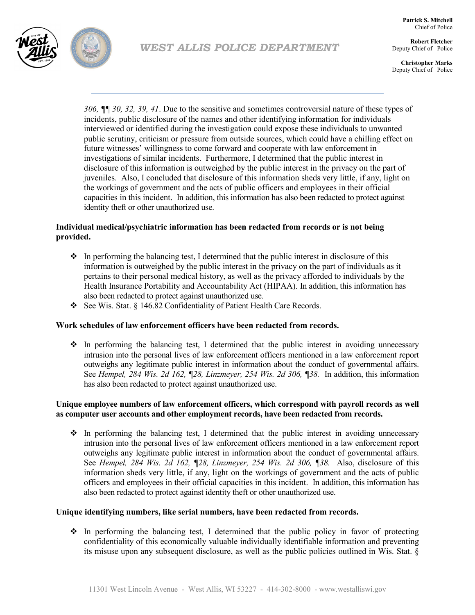

**Patrick S. Mitchell** Chief of Police

**Robert Fletcher** Deputy Chief of Police

**Christopher Marks** Deputy Chief of Police

*306, ¶¶ 30, 32, 39, 41*. Due to the sensitive and sometimes controversial nature of these types of incidents, public disclosure of the names and other identifying information for individuals interviewed or identified during the investigation could expose these individuals to unwanted public scrutiny, criticism or pressure from outside sources, which could have a chilling effect on future witnesses' willingness to come forward and cooperate with law enforcement in investigations of similar incidents. Furthermore, I determined that the public interest in disclosure of this information is outweighed by the public interest in the privacy on the part of juveniles. Also, I concluded that disclosure of this information sheds very little, if any, light on the workings of government and the acts of public officers and employees in their official capacities in this incident. In addition, this information has also been redacted to protect against identity theft or other unauthorized use.

### **Individual medical/psychiatric information has been redacted from records or is not being provided.**

- $\cdot \cdot$  In performing the balancing test, I determined that the public interest in disclosure of this information is outweighed by the public interest in the privacy on the part of individuals as it pertains to their personal medical history, as well as the privacy afforded to individuals by the Health Insurance Portability and Accountability Act (HIPAA). In addition, this information has also been redacted to protect against unauthorized use.
- See Wis. Stat. § 146.82 Confidentiality of Patient Health Care Records.

#### **Work schedules of law enforcement officers have been redacted from records.**

 $\cdot$  In performing the balancing test, I determined that the public interest in avoiding unnecessary intrusion into the personal lives of law enforcement officers mentioned in a law enforcement report outweighs any legitimate public interest in information about the conduct of governmental affairs. See *Hempel, 284 Wis. 2d 162, ¶28, Linzmeyer, 254 Wis. 2d 306, ¶38.* In addition, this information has also been redacted to protect against unauthorized use.

#### **Unique employee numbers of law enforcement officers, which correspond with payroll records as well as computer user accounts and other employment records, have been redacted from records.**

 $\cdot$  In performing the balancing test, I determined that the public interest in avoiding unnecessary intrusion into the personal lives of law enforcement officers mentioned in a law enforcement report outweighs any legitimate public interest in information about the conduct of governmental affairs. See *Hempel, 284 Wis. 2d 162, ¶28, Linzmeyer, 254 Wis. 2d 306, ¶38.* Also, disclosure of this information sheds very little, if any, light on the workings of government and the acts of public officers and employees in their official capacities in this incident. In addition, this information has also been redacted to protect against identity theft or other unauthorized use.

#### **Unique identifying numbers, like serial numbers, have been redacted from records.**

 $\cdot \cdot$  In performing the balancing test, I determined that the public policy in favor of protecting confidentiality of this economically valuable individually identifiable information and preventing its misuse upon any subsequent disclosure, as well as the public policies outlined in Wis. Stat. §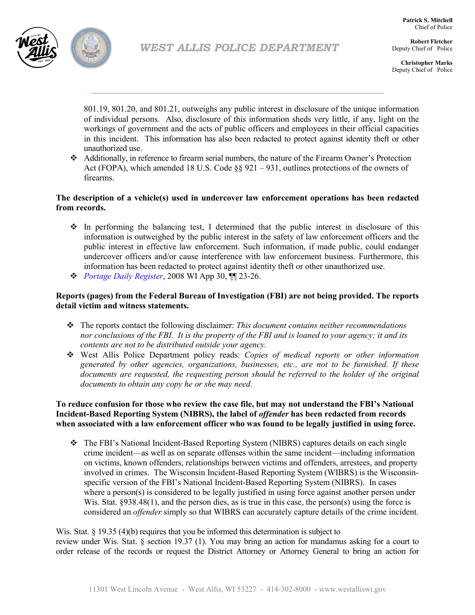

**Robert Fletcher** Deputy Chief of Police

**Christopher Marks** Deputy Chief of Police

801.19, 801.20, and 801.21, outweighs any public interest in disclosure of the unique information of individual persons. Also, disclosure of this information sheds very little, if any, light on the workings of government and the acts of public officers and employees in their official capacities in this incident. This information has also been redacted to protect against identity theft or other unauthorized use.

 Additionally, in reference to firearm serial numbers, the nature of the Firearm Owner's Protection Act (FOPA), which amended 18 U.S. Code  $\S 921 - 931$ , outlines protections of the owners of firearms.

### **The description of a vehicle(s) used in undercover law enforcement operations has been redacted from records.**

- $\cdot \cdot$  In performing the balancing test, I determined that the public interest in disclosure of this information is outweighed by the public interest in the safety of law enforcement officers and the public interest in effective law enforcement. Such information, if made public, could endanger undercover officers and/or cause interference with law enforcement business. Furthermore, this information has been redacted to protect against identity theft or other unauthorized use.
- *Portage Daily Register*, 2008 WI App 30, ¶¶ 23-26.

# **Reports (pages) from the Federal Bureau of Investigation (FBI) are not being provided. The reports detail victim and witness statements.**

- The reports contact the following disclaimer: *This document contains neither recommendations nor conclusions of the FBI. It is the property of the FBI and is loaned to your agency; it and its contents are not to be distributed outside your agency.*
- West Allis Police Department policy reads: *Copies of medical reports or other information generated by other agencies, organizations, businesses, etc., are not to be furnished. If these documents are requested, the requesting person should be referred to the holder of the original documents to obtain any copy he or she may need.*

#### **To reduce confusion for those who review the case file, but may not understand the FBI's National Incident-Based Reporting System (NIBRS), the label of** *offender* **has been redacted from records when associated with a law enforcement officer who was found to be legally justified in using force.**

 The FBI's National Incident-Based Reporting System (NIBRS) captures details on each single crime incident—as well as on separate offenses within the same incident—including information on victims, known offenders, relationships between victims and offenders, arrestees, and property involved in crimes. The Wisconsin Incident-Based Reporting System (WIBRS) is the Wisconsinspecific version of the FBI's National Incident-Based Reporting System (NIBRS). In cases where a person(s) is considered to be legally justified in using force against another person under Wis. Stat. §938.48(1), and the person dies, as is true in this case, the person(s) using the force is considered an *offender* simply so that WIBRS can accurately capture details of the crime incident.

Wis. Stat. § 19.35 (4)(b) requires that you be informed this determination is subject to review under Wis. Stat. § section 19.37 (1). You may bring an action for mandamus asking for a court to order release of the records or request the District Attorney or Attorney General to bring an action for